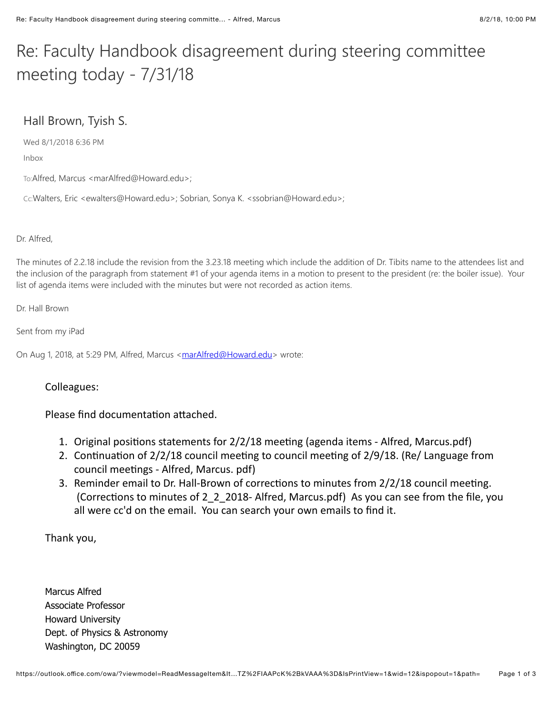# Re: Faculty Handbook disagreement during steering committee meeting today -  $7/31/18$

# Hall Brown, Tyish S.

Wed 8/1/2018 6:36 PM

Inbox

To:Alfred, Marcus <marAlfred@Howard.edu>;

Cc:Walters, Eric <ewalters@Howard.edu>; Sobrian, Sonya K. <ssobrian@Howard.edu>;

Dr. Alfred,

The minutes of 2.2.18 include the revision from the 3.23.18 meeting which include the addition of Dr. Tibits name to the attendees list and the inclusion of the paragraph from statement #1 of your agenda items in a motion to present to the president (re: the boiler issue). Your list of agenda items were included with the minutes but were not recorded as action items.

Dr. Hall Brown

Sent from my iPad

On Aug 1, 2018, at 5:29 PM, Alfred, Marcus [<marAlfred@Howard.edu>](mailto:marAlfred@howard.edu) wrote:

## Colleagues:

Please find documentation attached.

- 1. Original positions statements for 2/2/18 meeting (agenda items Alfred, Marcus.pdf)
- 2. Continuation of  $2/2/18$  council meeting to council meeting of  $2/9/18$ . (Re/ Language from council meetings - Alfred, Marcus. pdf)
- 3. Reminder email to Dr. Hall-Brown of corrections to minutes from 2/2/18 council meeting. (Corrections to minutes of 2 2 2018-Alfred, Marcus.pdf) As you can see from the file, you all were cc'd on the email. You can search your own emails to find it.

Thank you,

Marcus Alfred Associate Professor Howard University Dept. of Physics & Astronomy Washington, DC 20059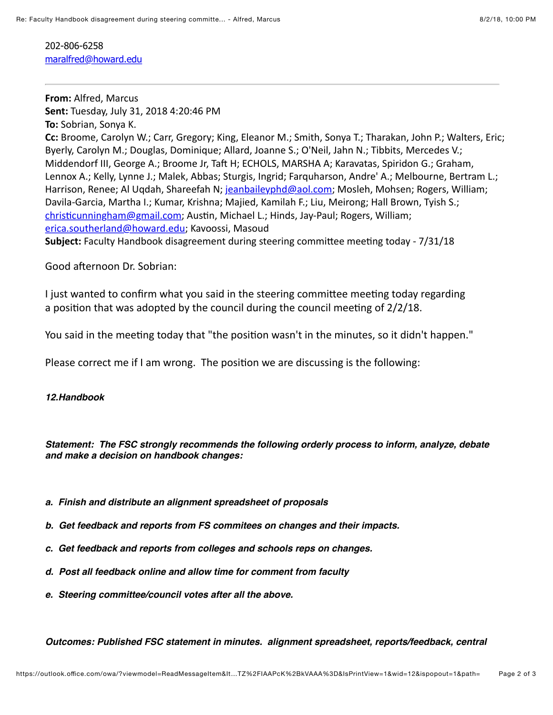202-806-6258 [maralfred@howard.edu](mailto:maralfred@howard.edu)

**From: Alfred, Marcus Sent:** Tuesday, July 31, 2018 4:20:46 PM **To:** Sobrian, Sonya K. **Cc:** Broome, Carolyn W.; Carr, Gregory; King, Eleanor M.; Smith, Sonya T.; Tharakan, John P.; Walters, Eric; Byerly, Carolyn M.; Douglas, Dominique; Allard, Joanne S.; O'Neil, Jahn N.; Tibbits, Mercedes V.; Middendorf III, George A.; Broome Jr, Taft H; ECHOLS, MARSHA A; Karavatas, Spiridon G.; Graham, Lennox A.; Kelly, Lynne J.; Malek, Abbas; Sturgis, Ingrid; Farquharson, Andre' A.; Melbourne, Bertram L.; Harrison, Renee; Al Ugdah, Shareefah N; [jeanbaileyphd@aol.com;](mailto:jeanbaileyphd@aol.com) Mosleh, Mohsen; Rogers, William; Davila-Garcia, Martha I.; Kumar, Krishna; Majied, Kamilah F.; Liu, Meirong; Hall Brown, Tyish S.; christicunningham@gmail.com; Austin, Michael L.; Hinds, Jay-Paul; Rogers, William; [erica.southerland@howard.edu](mailto:erica.southerland@howard.edu); Kavoossi, Masoud **Subject:** Faculty Handbook disagreement during steering committee meeting today - 7/31/18

Good afternoon Dr. Sobrian:

I just wanted to confirm what you said in the steering committee meeting today regarding a position that was adopted by the council during the council meeting of  $2/2/18$ .

You said in the meeting today that "the position wasn't in the minutes, so it didn't happen."

Please correct me if I am wrong. The position we are discussing is the following:

## *12.Handbook*

*Statement: The FSC strongly recommends the following orderly process to inform, analyze, debate and make a decision on handbook changes:*

- *a. Finish and distribute an alignment spreadsheet of proposals*
- *b. Get feedback and reports from FS commitees on changes and their impacts.*
- *c. Get feedback and reports from colleges and schools reps on changes.*
- *d. Post all feedback online and allow time for comment from faculty*
- *e. Steering committee/council votes after all the above.*

*Outcomes: Published FSC statement in minutes. alignment spreadsheet, reports/feedback, central*